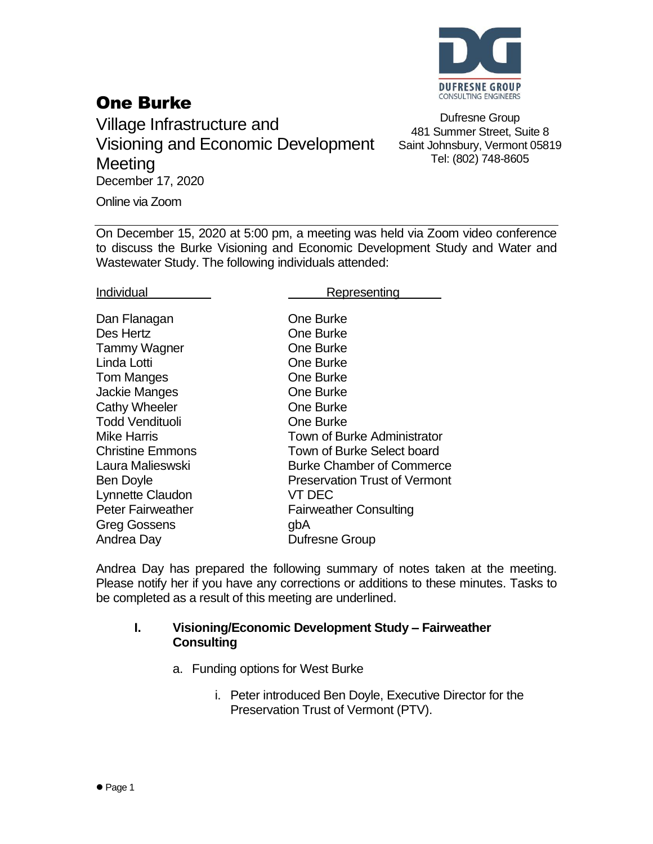

## One Burke

Village Infrastructure and Visioning and Economic Development **Meeting** December 17, 2020

Dufresne Group 481 Summer Street, Suite 8 Saint Johnsbury, Vermont 05819 Tel: (802) 748-8605

Online via Zoom

On December 15, 2020 at 5:00 pm, a meeting was held via Zoom video conference to discuss the Burke Visioning and Economic Development Study and Water and Wastewater Study. The following individuals attended:

Individual **Representing** 

| Dan Flanagan             | One Burke                            |
|--------------------------|--------------------------------------|
| Des Hertz                | <b>One Burke</b>                     |
| <b>Tammy Wagner</b>      | One Burke                            |
| Linda Lotti              | <b>One Burke</b>                     |
| Tom Manges               | One Burke                            |
| <b>Jackie Manges</b>     | One Burke                            |
| <b>Cathy Wheeler</b>     | One Burke                            |
| <b>Todd Vendituoli</b>   | One Burke                            |
| <b>Mike Harris</b>       | Town of Burke Administrator          |
| <b>Christine Emmons</b>  | Town of Burke Select board           |
| Laura Malieswski         | <b>Burke Chamber of Commerce</b>     |
| Ben Doyle                | <b>Preservation Trust of Vermont</b> |
| Lynnette Claudon         | VT DEC                               |
| <b>Peter Fairweather</b> | <b>Fairweather Consulting</b>        |
| <b>Greg Gossens</b>      | gbA                                  |
| Andrea Day               | Dufresne Group                       |
|                          |                                      |

Andrea Day has prepared the following summary of notes taken at the meeting. Please notify her if you have any corrections or additions to these minutes. Tasks to be completed as a result of this meeting are underlined.

## **I. Visioning/Economic Development Study – Fairweather Consulting**

- a. Funding options for West Burke
	- i. Peter introduced Ben Doyle, Executive Director for the Preservation Trust of Vermont (PTV).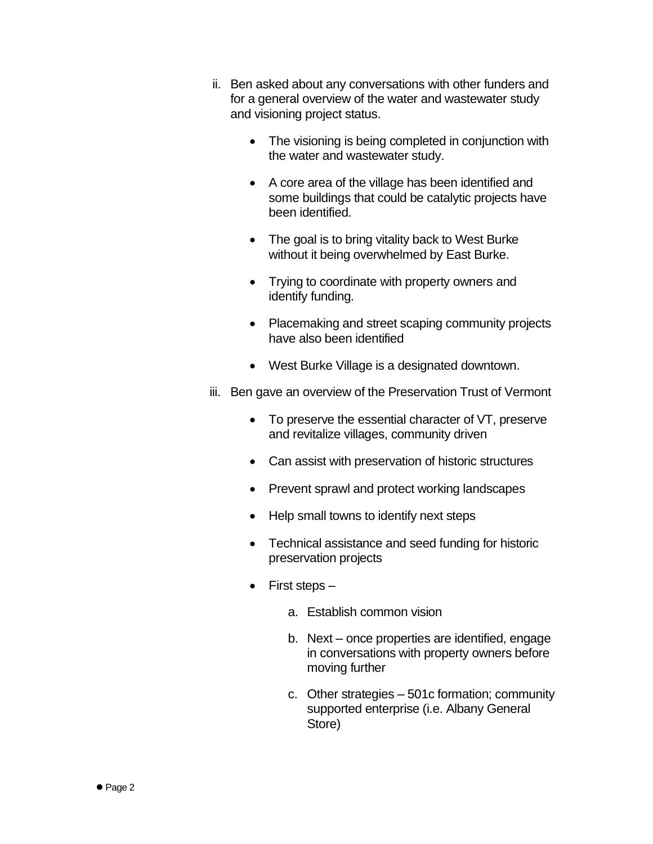- ii. Ben asked about any conversations with other funders and for a general overview of the water and wastewater study and visioning project status.
	- The visioning is being completed in conjunction with the water and wastewater study.
	- A core area of the village has been identified and some buildings that could be catalytic projects have been identified.
	- The goal is to bring vitality back to West Burke without it being overwhelmed by East Burke.
	- Trying to coordinate with property owners and identify funding.
	- Placemaking and street scaping community projects have also been identified
	- West Burke Village is a designated downtown.
- iii. Ben gave an overview of the Preservation Trust of Vermont
	- To preserve the essential character of VT, preserve and revitalize villages, community driven
	- Can assist with preservation of historic structures
	- Prevent sprawl and protect working landscapes
	- Help small towns to identify next steps
	- Technical assistance and seed funding for historic preservation projects
	- First steps
		- a. Establish common vision
		- b. Next once properties are identified, engage in conversations with property owners before moving further
		- c. Other strategies 501c formation; community supported enterprise (i.e. Albany General Store)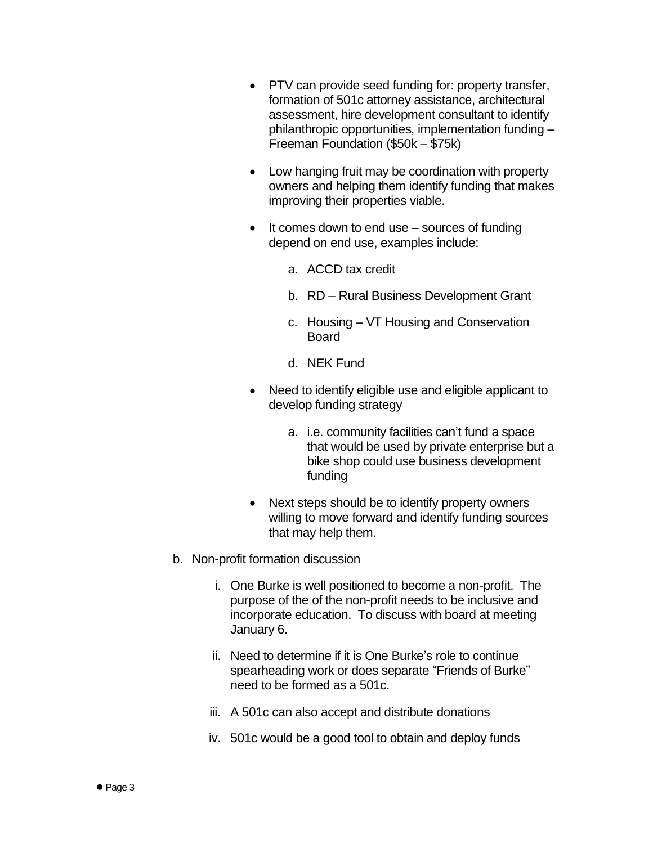- PTV can provide seed funding for: property transfer, formation of 501c attorney assistance, architectural assessment, hire development consultant to identify philanthropic opportunities, implementation funding – Freeman Foundation (\$50k – \$75k)
- Low hanging fruit may be coordination with property owners and helping them identify funding that makes improving their properties viable.
- It comes down to end use  $-$  sources of funding depend on end use, examples include:
	- a. ACCD tax credit
	- b. RD Rural Business Development Grant
	- c. Housing VT Housing and Conservation Board
	- d. NEK Fund
- Need to identify eligible use and eligible applicant to develop funding strategy
	- a. i.e. community facilities can't fund a space that would be used by private enterprise but a bike shop could use business development funding
- Next steps should be to identify property owners willing to move forward and identify funding sources that may help them.
- b. Non-profit formation discussion
	- i. One Burke is well positioned to become a non-profit. The purpose of the of the non-profit needs to be inclusive and incorporate education. To discuss with board at meeting January 6.
	- ii. Need to determine if it is One Burke's role to continue spearheading work or does separate "Friends of Burke" need to be formed as a 501c.
	- iii. A 501c can also accept and distribute donations
	- iv. 501c would be a good tool to obtain and deploy funds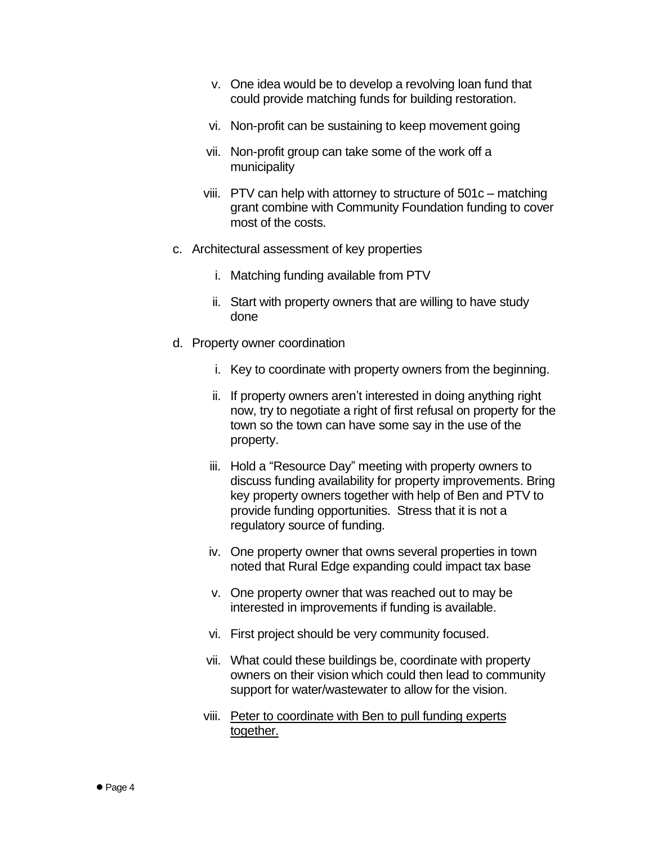- v. One idea would be to develop a revolving loan fund that could provide matching funds for building restoration.
- vi. Non-profit can be sustaining to keep movement going
- vii. Non-profit group can take some of the work off a municipality
- viii. PTV can help with attorney to structure of 501c matching grant combine with Community Foundation funding to cover most of the costs.
- c. Architectural assessment of key properties
	- i. Matching funding available from PTV
	- ii. Start with property owners that are willing to have study done
- d. Property owner coordination
	- i. Key to coordinate with property owners from the beginning.
	- ii. If property owners aren't interested in doing anything right now, try to negotiate a right of first refusal on property for the town so the town can have some say in the use of the property.
	- iii. Hold a "Resource Day" meeting with property owners to discuss funding availability for property improvements. Bring key property owners together with help of Ben and PTV to provide funding opportunities. Stress that it is not a regulatory source of funding.
	- iv. One property owner that owns several properties in town noted that Rural Edge expanding could impact tax base
	- v. One property owner that was reached out to may be interested in improvements if funding is available.
	- vi. First project should be very community focused.
	- vii. What could these buildings be, coordinate with property owners on their vision which could then lead to community support for water/wastewater to allow for the vision.
	- viii. Peter to coordinate with Ben to pull funding experts together.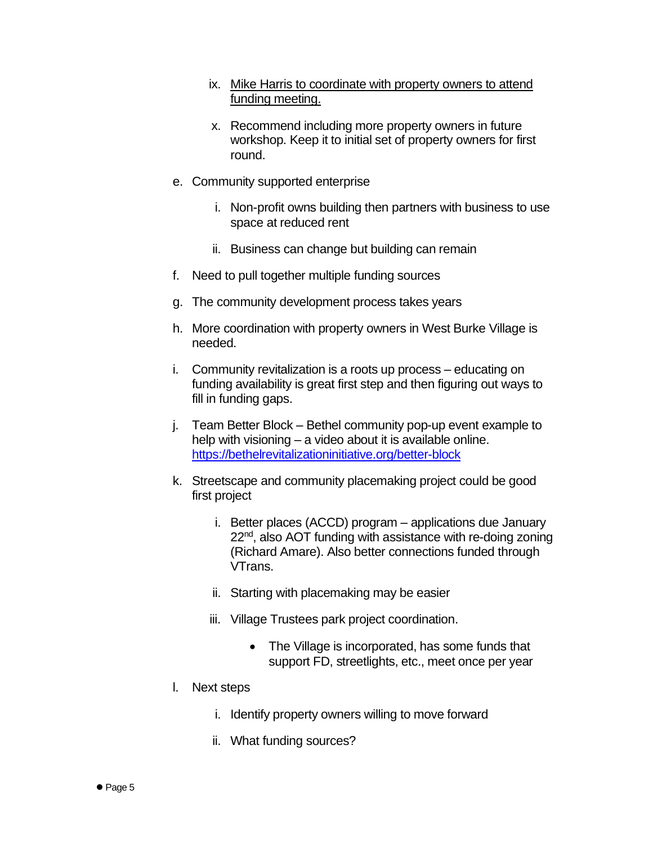- ix. Mike Harris to coordinate with property owners to attend funding meeting.
- x. Recommend including more property owners in future workshop. Keep it to initial set of property owners for first round.
- e. Community supported enterprise
	- i. Non-profit owns building then partners with business to use space at reduced rent
	- ii. Business can change but building can remain
- f. Need to pull together multiple funding sources
- g. The community development process takes years
- h. More coordination with property owners in West Burke Village is needed.
- i. Community revitalization is a roots up process educating on funding availability is great first step and then figuring out ways to fill in funding gaps.
- j. Team Better Block Bethel community pop-up event example to help with visioning – a video about it is available online. <https://bethelrevitalizationinitiative.org/better-block>
- k. Streetscape and community placemaking project could be good first project
	- i. Better places (ACCD) program applications due January 22<sup>nd</sup>, also AOT funding with assistance with re-doing zoning (Richard Amare). Also better connections funded through VTrans.
	- ii. Starting with placemaking may be easier
	- iii. Village Trustees park project coordination.
		- The Village is incorporated, has some funds that support FD, streetlights, etc., meet once per year
- l. Next steps
	- i. Identify property owners willing to move forward
	- ii. What funding sources?